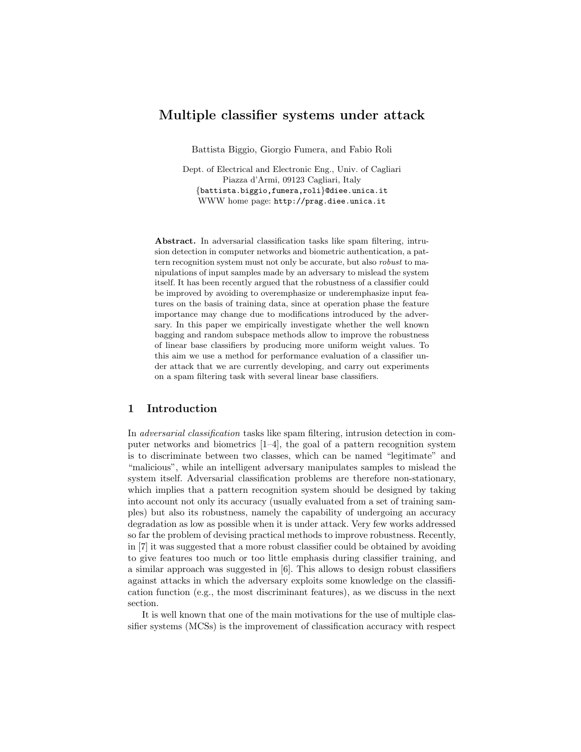# Multiple classifier systems under attack

Battista Biggio, Giorgio Fumera, and Fabio Roli

Dept. of Electrical and Electronic Eng., Univ. of Cagliari Piazza d'Armi, 09123 Cagliari, Italy {battista.biggio,fumera,roli}@diee.unica.it WWW home page: http://prag.diee.unica.it

Abstract. In adversarial classification tasks like spam filtering, intrusion detection in computer networks and biometric authentication, a pattern recognition system must not only be accurate, but also robust to manipulations of input samples made by an adversary to mislead the system itself. It has been recently argued that the robustness of a classifier could be improved by avoiding to overemphasize or underemphasize input features on the basis of training data, since at operation phase the feature importance may change due to modifications introduced by the adversary. In this paper we empirically investigate whether the well known bagging and random subspace methods allow to improve the robustness of linear base classifiers by producing more uniform weight values. To this aim we use a method for performance evaluation of a classifier under attack that we are currently developing, and carry out experiments on a spam filtering task with several linear base classifiers.

# 1 Introduction

In adversarial classification tasks like spam filtering, intrusion detection in computer networks and biometrics [1–4], the goal of a pattern recognition system is to discriminate between two classes, which can be named "legitimate" and "malicious", while an intelligent adversary manipulates samples to mislead the system itself. Adversarial classification problems are therefore non-stationary, which implies that a pattern recognition system should be designed by taking into account not only its accuracy (usually evaluated from a set of training samples) but also its robustness, namely the capability of undergoing an accuracy degradation as low as possible when it is under attack. Very few works addressed so far the problem of devising practical methods to improve robustness. Recently, in [7] it was suggested that a more robust classifier could be obtained by avoiding to give features too much or too little emphasis during classifier training, and a similar approach was suggested in [6]. This allows to design robust classifiers against attacks in which the adversary exploits some knowledge on the classification function (e.g., the most discriminant features), as we discuss in the next section.

It is well known that one of the main motivations for the use of multiple classifier systems (MCSs) is the improvement of classification accuracy with respect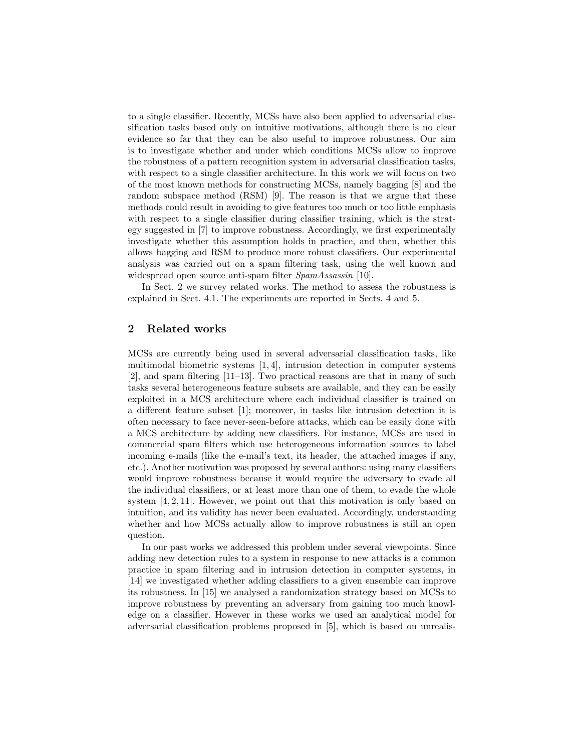to a single classifier. Recently, MCSs have also been applied to adversarial classification tasks based only on intuitive motivations, although there is no clear evidence so far that they can be also useful to improve robustness. Our aim is to investigate whether and under which conditions MCSs allow to improve the robustness of a pattern recognition system in adversarial classification tasks, with respect to a single classifier architecture. In this work we will focus on two of the most known methods for constructing MCSs, namely bagging [8] and the random subspace method (RSM) [9]. The reason is that we argue that these methods could result in avoiding to give features too much or too little emphasis with respect to a single classifier during classifier training, which is the strategy suggested in [7] to improve robustness. Accordingly, we first experimentally investigate whether this assumption holds in practice, and then, whether this allows bagging and RSM to produce more robust classifiers. Our experimental analysis was carried out on a spam filtering task, using the well known and widespread open source anti-spam filter  $SpamAssassin$  [10].

In Sect. 2 we survey related works. The method to assess the robustness is explained in Sect. 4.1. The experiments are reported in Sects. 4 and 5.

# 2 Related works

MCSs are currently being used in several adversarial classification tasks, like multimodal biometric systems [1, 4], intrusion detection in computer systems [2], and spam filtering [11–13]. Two practical reasons are that in many of such tasks several heterogeneous feature subsets are available, and they can be easily exploited in a MCS architecture where each individual classifier is trained on a different feature subset [1]; moreover, in tasks like intrusion detection it is often necessary to face never-seen-before attacks, which can be easily done with a MCS architecture by adding new classifiers. For instance, MCSs are used in commercial spam filters which use heterogeneous information sources to label incoming e-mails (like the e-mail's text, its header, the attached images if any, etc.). Another motivation was proposed by several authors: using many classifiers would improve robustness because it would require the adversary to evade all the individual classifiers, or at least more than one of them, to evade the whole system  $[4, 2, 11]$ . However, we point out that this motivation is only based on intuition, and its validity has never been evaluated. Accordingly, understanding whether and how MCSs actually allow to improve robustness is still an open question.

In our past works we addressed this problem under several viewpoints. Since adding new detection rules to a system in response to new attacks is a common practice in spam filtering and in intrusion detection in computer systems, in [14] we investigated whether adding classifiers to a given ensemble can improve its robustness. In [15] we analysed a randomization strategy based on MCSs to improve robustness by preventing an adversary from gaining too much knowledge on a classifier. However in these works we used an analytical model for adversarial classification problems proposed in [5], which is based on unrealis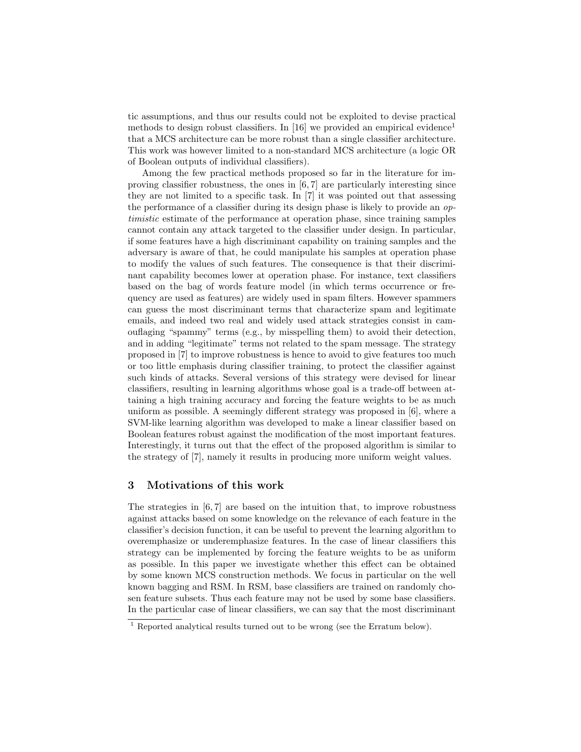tic assumptions, and thus our results could not be exploited to devise practical methods to design robust classifiers. In [16] we provided an empirical evidence<sup>1</sup> that a MCS architecture can be more robust than a single classifier architecture. This work was however limited to a non-standard MCS architecture (a logic OR of Boolean outputs of individual classifiers).

Among the few practical methods proposed so far in the literature for improving classifier robustness, the ones in [6, 7] are particularly interesting since they are not limited to a specific task. In [7] it was pointed out that assessing the performance of a classifier during its design phase is likely to provide an optimistic estimate of the performance at operation phase, since training samples cannot contain any attack targeted to the classifier under design. In particular, if some features have a high discriminant capability on training samples and the adversary is aware of that, he could manipulate his samples at operation phase to modify the values of such features. The consequence is that their discriminant capability becomes lower at operation phase. For instance, text classifiers based on the bag of words feature model (in which terms occurrence or frequency are used as features) are widely used in spam filters. However spammers can guess the most discriminant terms that characterize spam and legitimate emails, and indeed two real and widely used attack strategies consist in camouflaging "spammy" terms (e.g., by misspelling them) to avoid their detection, and in adding "legitimate" terms not related to the spam message. The strategy proposed in [7] to improve robustness is hence to avoid to give features too much or too little emphasis during classifier training, to protect the classifier against such kinds of attacks. Several versions of this strategy were devised for linear classifiers, resulting in learning algorithms whose goal is a trade-off between attaining a high training accuracy and forcing the feature weights to be as much uniform as possible. A seemingly different strategy was proposed in [6], where a SVM-like learning algorithm was developed to make a linear classifier based on Boolean features robust against the modification of the most important features. Interestingly, it turns out that the effect of the proposed algorithm is similar to the strategy of [7], namely it results in producing more uniform weight values.

# 3 Motivations of this work

The strategies in [6, 7] are based on the intuition that, to improve robustness against attacks based on some knowledge on the relevance of each feature in the classifier's decision function, it can be useful to prevent the learning algorithm to overemphasize or underemphasize features. In the case of linear classifiers this strategy can be implemented by forcing the feature weights to be as uniform as possible. In this paper we investigate whether this effect can be obtained by some known MCS construction methods. We focus in particular on the well known bagging and RSM. In RSM, base classifiers are trained on randomly chosen feature subsets. Thus each feature may not be used by some base classifiers. In the particular case of linear classifiers, we can say that the most discriminant

<sup>1</sup> Reported analytical results turned out to be wrong (see the Erratum below).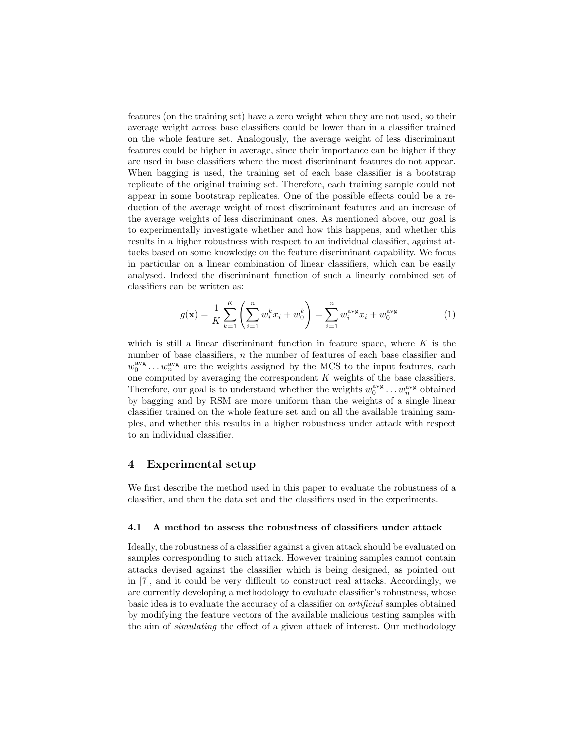features (on the training set) have a zero weight when they are not used, so their average weight across base classifiers could be lower than in a classifier trained on the whole feature set. Analogously, the average weight of less discriminant features could be higher in average, since their importance can be higher if they are used in base classifiers where the most discriminant features do not appear. When bagging is used, the training set of each base classifier is a bootstrap replicate of the original training set. Therefore, each training sample could not appear in some bootstrap replicates. One of the possible effects could be a reduction of the average weight of most discriminant features and an increase of the average weights of less discriminant ones. As mentioned above, our goal is to experimentally investigate whether and how this happens, and whether this results in a higher robustness with respect to an individual classifier, against attacks based on some knowledge on the feature discriminant capability. We focus in particular on a linear combination of linear classifiers, which can be easily analysed. Indeed the discriminant function of such a linearly combined set of classifiers can be written as:

$$
g(\mathbf{x}) = \frac{1}{K} \sum_{k=1}^{K} \left( \sum_{i=1}^{n} w_i^k x_i + w_0^k \right) = \sum_{i=1}^{n} w_i^{\text{avg}} x_i + w_0^{\text{avg}}
$$
(1)

which is still a linear discriminant function in feature space, where  $K$  is the number of base classifiers, n the number of features of each base classifier and  $w_0^{\text{avg}} \dots w_n^{\text{avg}}$  are the weights assigned by the MCS to the input features, each one computed by averaging the correspondent  $K$  weights of the base classifiers. Therefore, our goal is to understand whether the weights  $w_0^{\text{avg}} \dots w_n^{\text{avg}}$  obtained by bagging and by RSM are more uniform than the weights of a single linear classifier trained on the whole feature set and on all the available training samples, and whether this results in a higher robustness under attack with respect to an individual classifier.

# 4 Experimental setup

We first describe the method used in this paper to evaluate the robustness of a classifier, and then the data set and the classifiers used in the experiments.

#### 4.1 A method to assess the robustness of classifiers under attack

Ideally, the robustness of a classifier against a given attack should be evaluated on samples corresponding to such attack. However training samples cannot contain attacks devised against the classifier which is being designed, as pointed out in [7], and it could be very difficult to construct real attacks. Accordingly, we are currently developing a methodology to evaluate classifier's robustness, whose basic idea is to evaluate the accuracy of a classifier on artificial samples obtained by modifying the feature vectors of the available malicious testing samples with the aim of simulating the effect of a given attack of interest. Our methodology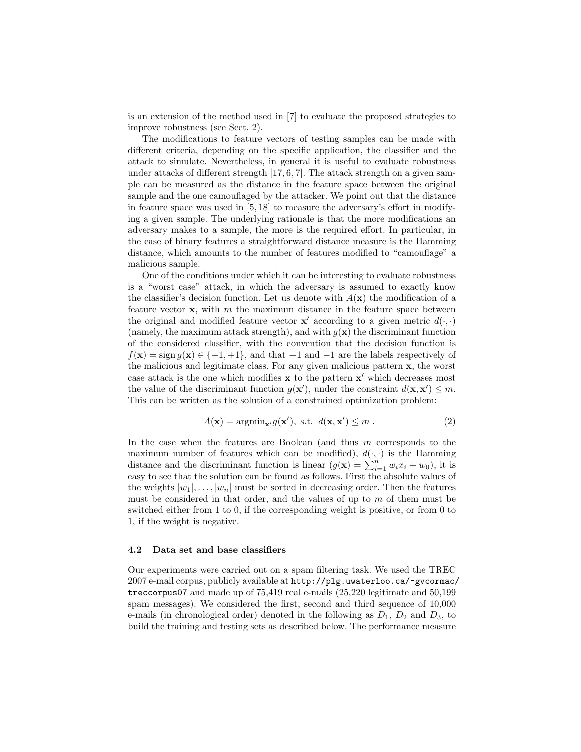is an extension of the method used in [7] to evaluate the proposed strategies to improve robustness (see Sect. 2).

The modifications to feature vectors of testing samples can be made with different criteria, depending on the specific application, the classifier and the attack to simulate. Nevertheless, in general it is useful to evaluate robustness under attacks of different strength  $[17, 6, 7]$ . The attack strength on a given sample can be measured as the distance in the feature space between the original sample and the one camouflaged by the attacker. We point out that the distance in feature space was used in [5, 18] to measure the adversary's effort in modifying a given sample. The underlying rationale is that the more modifications an adversary makes to a sample, the more is the required effort. In particular, in the case of binary features a straightforward distance measure is the Hamming distance, which amounts to the number of features modified to "camouflage" a malicious sample.

One of the conditions under which it can be interesting to evaluate robustness is a "worst case" attack, in which the adversary is assumed to exactly know the classifier's decision function. Let us denote with  $A(\mathbf{x})$  the modification of a feature vector  $x$ , with m the maximum distance in the feature space between the original and modified feature vector  $\mathbf{x}'$  according to a given metric  $d(\cdot, \cdot)$ (namely, the maximum attack strength), and with  $g(\mathbf{x})$  the discriminant function of the considered classifier, with the convention that the decision function is  $f(\mathbf{x}) = \text{sign } g(\mathbf{x}) \in \{-1, +1\}$ , and that  $+1$  and  $-1$  are the labels respectively of the malicious and legitimate class. For any given malicious pattern x, the worst case attack is the one which modifies  $x$  to the pattern  $x'$  which decreases most the value of the discriminant function  $g(\mathbf{x}')$ , under the constraint  $d(\mathbf{x}, \mathbf{x}') \leq m$ . This can be written as the solution of a constrained optimization problem:

$$
A(\mathbf{x}) = \operatorname{argmin}_{\mathbf{x}'} g(\mathbf{x}'), \text{ s.t. } d(\mathbf{x}, \mathbf{x}') \le m.
$$
 (2)

In the case when the features are Boolean (and thus m corresponds to the maximum number of features which can be modified),  $d(\cdot, \cdot)$  is the Hamming distance and the discriminant function is linear  $(g(\mathbf{x}) = \sum_{i=1}^{n} w_i x_i + w_0)$ , it is easy to see that the solution can be found as follows. First the absolute values of the weights  $|w_1|, \ldots, |w_n|$  must be sorted in decreasing order. Then the features must be considered in that order, and the values of up to  $m$  of them must be switched either from 1 to 0, if the corresponding weight is positive, or from 0 to 1, if the weight is negative.

#### 4.2 Data set and base classifiers

Our experiments were carried out on a spam filtering task. We used the TREC 2007 e-mail corpus, publicly available at http://plg.uwaterloo.ca/~gvcormac/ treccorpus07 and made up of 75,419 real e-mails (25,220 legitimate and 50,199 spam messages). We considered the first, second and third sequence of 10,000 e-mails (in chronological order) denoted in the following as  $D_1$ ,  $D_2$  and  $D_3$ , to build the training and testing sets as described below. The performance measure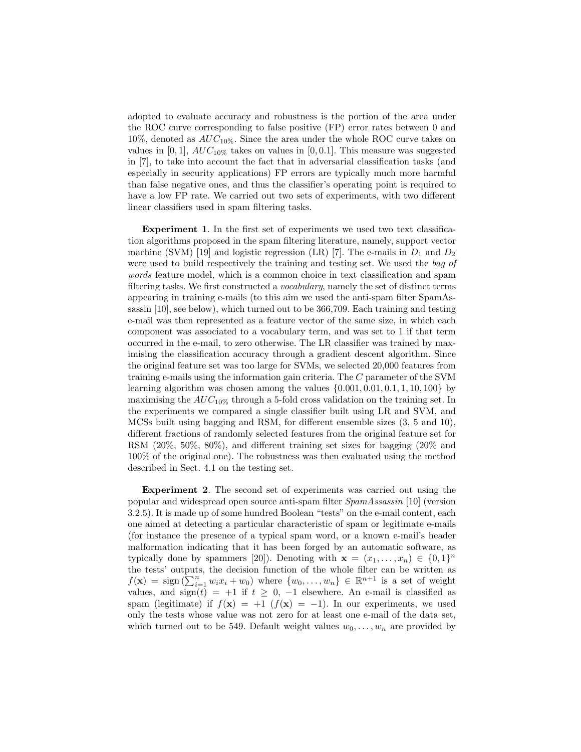adopted to evaluate accuracy and robustness is the portion of the area under the ROC curve corresponding to false positive (FP) error rates between 0 and 10%, denoted as  $AUC_{10\%}$ . Since the area under the whole ROC curve takes on values in  $[0, 1]$ ,  $AUC_{10\%}$  takes on values in  $[0, 0.1]$ . This measure was suggested in [7], to take into account the fact that in adversarial classification tasks (and especially in security applications) FP errors are typically much more harmful than false negative ones, and thus the classifier's operating point is required to have a low FP rate. We carried out two sets of experiments, with two different linear classifiers used in spam filtering tasks.

Experiment 1. In the first set of experiments we used two text classification algorithms proposed in the spam filtering literature, namely, support vector machine (SVM) [19] and logistic regression (LR) [7]. The e-mails in  $D_1$  and  $D_2$ were used to build respectively the training and testing set. We used the bag of words feature model, which is a common choice in text classification and spam filtering tasks. We first constructed a vocabulary, namely the set of distinct terms appearing in training e-mails (to this aim we used the anti-spam filter SpamAssassin [10], see below), which turned out to be 366,709. Each training and testing e-mail was then represented as a feature vector of the same size, in which each component was associated to a vocabulary term, and was set to 1 if that term occurred in the e-mail, to zero otherwise. The LR classifier was trained by maximising the classification accuracy through a gradient descent algorithm. Since the original feature set was too large for SVMs, we selected 20,000 features from training e-mails using the information gain criteria. The C parameter of the SVM learning algorithm was chosen among the values  $\{0.001, 0.01, 0.1, 1, 10, 100\}$  by maximising the  $AUC_{10\%}$  through a 5-fold cross validation on the training set. In the experiments we compared a single classifier built using LR and SVM, and MCSs built using bagging and RSM, for different ensemble sizes (3, 5 and 10), different fractions of randomly selected features from the original feature set for RSM (20%, 50%, 80%), and different training set sizes for bagging (20% and 100% of the original one). The robustness was then evaluated using the method described in Sect. 4.1 on the testing set.

Experiment 2. The second set of experiments was carried out using the popular and widespread open source anti-spam filter SpamAssassin [10] (version 3.2.5). It is made up of some hundred Boolean "tests" on the e-mail content, each one aimed at detecting a particular characteristic of spam or legitimate e-mails (for instance the presence of a typical spam word, or a known e-mail's header malformation indicating that it has been forged by an automatic software, as typically done by spammers [20]). Denoting with  $\mathbf{x} = (x_1, \ldots, x_n) \in \{0, 1\}^n$ the tests' outputs, the decision function of the whole filter can be written as  $f(\mathbf{x}) = \text{sign}\left(\sum_{i=1}^n w_i x_i + w_0\right)$  where  $\{w_0, \ldots, w_n\} \in \mathbb{R}^{n+1}$  is a set of weight values, and sign(t) = +1 if  $t \geq 0$ , -1 elsewhere. An e-mail is classified as spam (legitimate) if  $f(x) = +1$  ( $f(x) = -1$ ). In our experiments, we used only the tests whose value was not zero for at least one e-mail of the data set, which turned out to be 549. Default weight values  $w_0, \ldots, w_n$  are provided by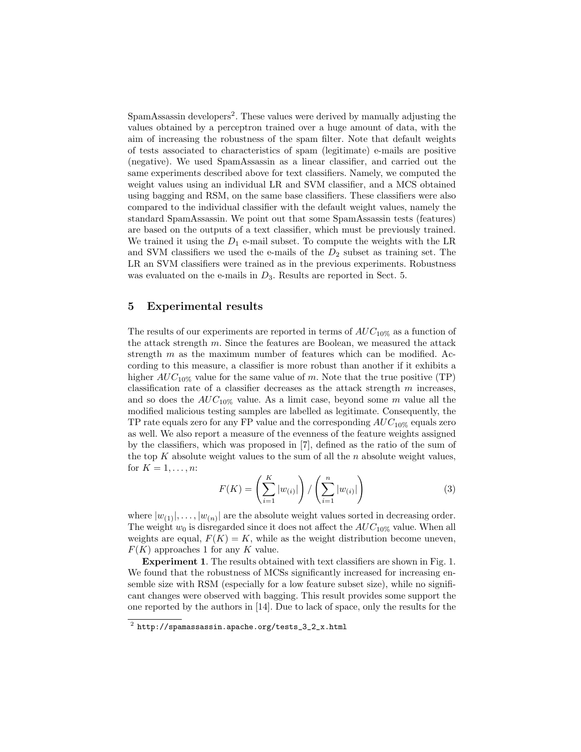SpamAssassin developers<sup>2</sup>. These values were derived by manually adjusting the values obtained by a perceptron trained over a huge amount of data, with the aim of increasing the robustness of the spam filter. Note that default weights of tests associated to characteristics of spam (legitimate) e-mails are positive (negative). We used SpamAssassin as a linear classifier, and carried out the same experiments described above for text classifiers. Namely, we computed the weight values using an individual LR and SVM classifier, and a MCS obtained using bagging and RSM, on the same base classifiers. These classifiers were also compared to the individual classifier with the default weight values, namely the standard SpamAssassin. We point out that some SpamAssassin tests (features) are based on the outputs of a text classifier, which must be previously trained. We trained it using the  $D_1$  e-mail subset. To compute the weights with the LR and SVM classifiers we used the e-mails of the  $D_2$  subset as training set. The LR an SVM classifiers were trained as in the previous experiments. Robustness was evaluated on the e-mails in  $D_3$ . Results are reported in Sect. 5.

### 5 Experimental results

The results of our experiments are reported in terms of  $AUC_{10\%}$  as a function of the attack strength m. Since the features are Boolean, we measured the attack strength  $m$  as the maximum number of features which can be modified. According to this measure, a classifier is more robust than another if it exhibits a higher  $AUC_{10\%}$  value for the same value of m. Note that the true positive (TP) classification rate of a classifier decreases as the attack strength  $m$  increases, and so does the  $AUC_{10\%}$  value. As a limit case, beyond some m value all the modified malicious testing samples are labelled as legitimate. Consequently, the TP rate equals zero for any FP value and the corresponding  $AUC_{10\%}$  equals zero as well. We also report a measure of the evenness of the feature weights assigned by the classifiers, which was proposed in [7], defined as the ratio of the sum of the top K absolute weight values to the sum of all the n absolute weight values. for  $K = 1, \ldots, n$ :

$$
F(K) = \left(\sum_{i=1}^{K} |w_{(i)}|\right) / \left(\sum_{i=1}^{n} |w_{(i)}|\right)
$$
 (3)

where  $|w_{(1)}|, \ldots, |w_{(n)}|$  are the absolute weight values sorted in decreasing order. The weight  $w_0$  is disregarded since it does not affect the  $AUC_{10\%}$  value. When all weights are equal,  $F(K) = K$ , while as the weight distribution become uneven,  $F(K)$  approaches 1 for any K value.

Experiment 1. The results obtained with text classifiers are shown in Fig. 1. We found that the robustness of MCSs significantly increased for increasing ensemble size with RSM (especially for a low feature subset size), while no significant changes were observed with bagging. This result provides some support the one reported by the authors in [14]. Due to lack of space, only the results for the

 $^2$  http://spamassassin.apache.org/tests\_3\_2\_x.html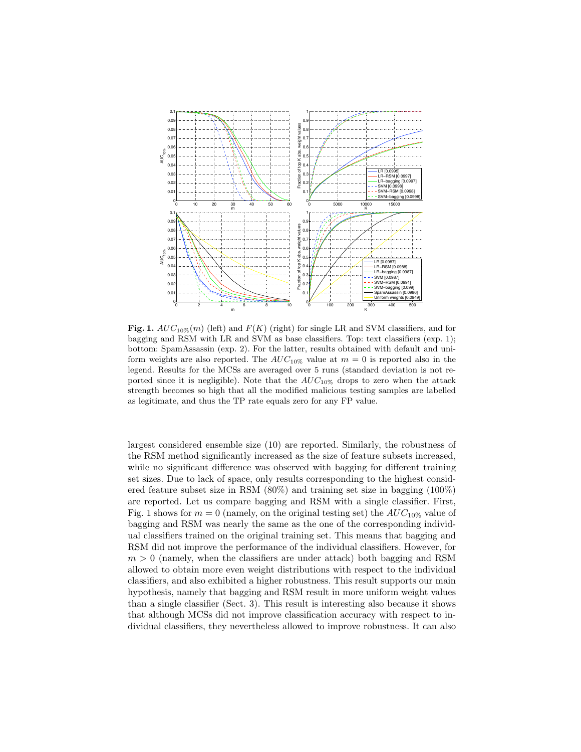

Fig. 1.  $AUC_{10\%}(m)$  (left) and  $F(K)$  (right) for single LR and SVM classifiers, and for bagging and RSM with LR and SVM as base classifiers. Top: text classifiers (exp. 1); bottom: SpamAssassin (exp. 2). For the latter, results obtained with default and uniform weights are also reported. The  $AUC_{10\%}$  value at  $m = 0$  is reported also in the legend. Results for the MCSs are averaged over 5 runs (standard deviation is not reported since it is negligible). Note that the  $AUC_{10\%}$  drops to zero when the attack strength becomes so high that all the modified malicious testing samples are labelled as legitimate, and thus the TP rate equals zero for any FP value.

largest considered ensemble size (10) are reported. Similarly, the robustness of the RSM method significantly increased as the size of feature subsets increased, while no significant difference was observed with bagging for different training set sizes. Due to lack of space, only results corresponding to the highest considered feature subset size in RSM (80%) and training set size in bagging (100%) are reported. Let us compare bagging and RSM with a single classifier. First, Fig. 1 shows for  $m = 0$  (namely, on the original testing set) the  $AUC_{10\%}$  value of bagging and RSM was nearly the same as the one of the corresponding individual classifiers trained on the original training set. This means that bagging and RSM did not improve the performance of the individual classifiers. However, for  $m > 0$  (namely, when the classifiers are under attack) both bagging and RSM allowed to obtain more even weight distributions with respect to the individual classifiers, and also exhibited a higher robustness. This result supports our main hypothesis, namely that bagging and RSM result in more uniform weight values than a single classifier (Sect. 3). This result is interesting also because it shows that although MCSs did not improve classification accuracy with respect to individual classifiers, they nevertheless allowed to improve robustness. It can also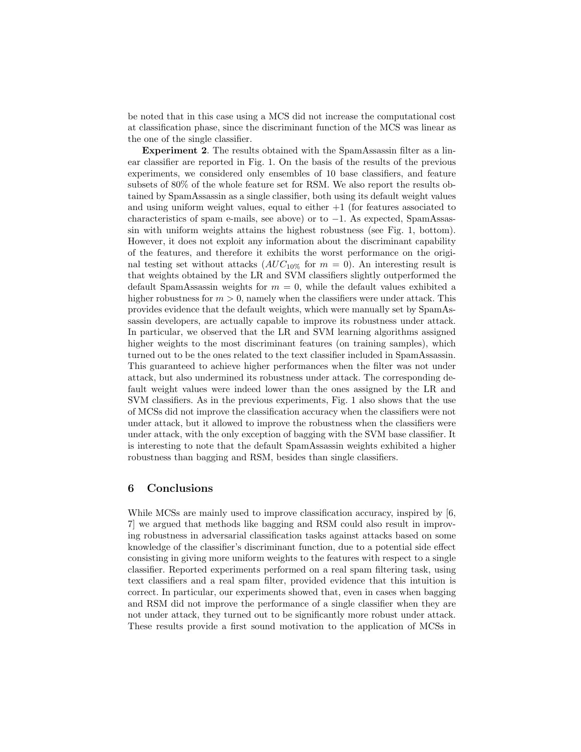be noted that in this case using a MCS did not increase the computational cost at classification phase, since the discriminant function of the MCS was linear as the one of the single classifier.

Experiment 2. The results obtained with the SpamAssassin filter as a linear classifier are reported in Fig. 1. On the basis of the results of the previous experiments, we considered only ensembles of 10 base classifiers, and feature subsets of 80% of the whole feature set for RSM. We also report the results obtained by SpamAssassin as a single classifier, both using its default weight values and using uniform weight values, equal to either  $+1$  (for features associated to characteristics of spam e-mails, see above) or to −1. As expected, SpamAssassin with uniform weights attains the highest robustness (see Fig. 1, bottom). However, it does not exploit any information about the discriminant capability of the features, and therefore it exhibits the worst performance on the original testing set without attacks  $(AUC_{10\%}$  for  $m = 0)$ . An interesting result is that weights obtained by the LR and SVM classifiers slightly outperformed the default SpamAssassin weights for  $m = 0$ , while the default values exhibited a higher robustness for  $m > 0$ , namely when the classifiers were under attack. This provides evidence that the default weights, which were manually set by SpamAssassin developers, are actually capable to improve its robustness under attack. In particular, we observed that the LR and SVM learning algorithms assigned higher weights to the most discriminant features (on training samples), which turned out to be the ones related to the text classifier included in SpamAssassin. This guaranteed to achieve higher performances when the filter was not under attack, but also undermined its robustness under attack. The corresponding default weight values were indeed lower than the ones assigned by the LR and SVM classifiers. As in the previous experiments, Fig. 1 also shows that the use of MCSs did not improve the classification accuracy when the classifiers were not under attack, but it allowed to improve the robustness when the classifiers were under attack, with the only exception of bagging with the SVM base classifier. It is interesting to note that the default SpamAssassin weights exhibited a higher robustness than bagging and RSM, besides than single classifiers.

# 6 Conclusions

While MCSs are mainly used to improve classification accuracy, inspired by [6, 7] we argued that methods like bagging and RSM could also result in improving robustness in adversarial classification tasks against attacks based on some knowledge of the classifier's discriminant function, due to a potential side effect consisting in giving more uniform weights to the features with respect to a single classifier. Reported experiments performed on a real spam filtering task, using text classifiers and a real spam filter, provided evidence that this intuition is correct. In particular, our experiments showed that, even in cases when bagging and RSM did not improve the performance of a single classifier when they are not under attack, they turned out to be significantly more robust under attack. These results provide a first sound motivation to the application of MCSs in